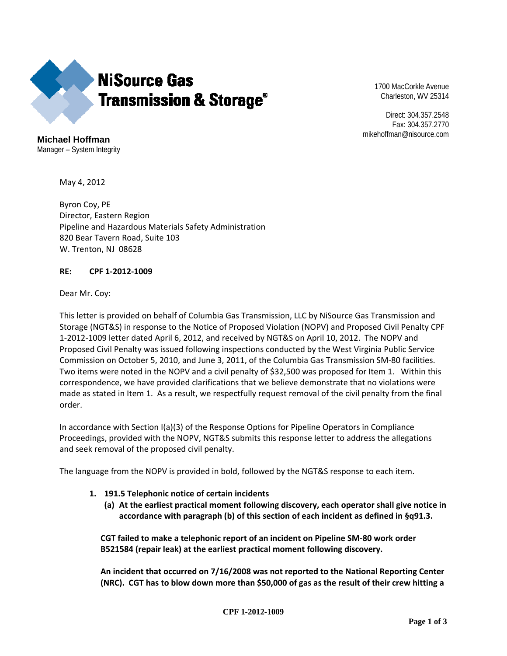

1700 MacCorkle Avenue Charleston, WV 25314

Direct: 304.357.2548 Fax: 304.357.2770 mikehoffman@nisource.com

**Michael Hoffman**  Manager – System Integrity

May 4, 2012

Byron Coy, PE Director, Eastern Region Pipeline and Hazardous Materials Safety Administration 820 Bear Tavern Road, Suite 103 W. Trenton, NJ 08628

## **RE: CPF 1-2012-1009**

Dear Mr. Coy:

This letter is provided on behalf of Columbia Gas Transmission, LLC by NiSource Gas Transmission and Storage (NGT&S) in response to the Notice of Proposed Violation (NOPV) and Proposed Civil Penalty CPF 1-2012-1009 letter dated April 6, 2012, and received by NGT&S on April 10, 2012. The NOPV and Proposed Civil Penalty was issued following inspections conducted by the West Virginia Public Service Commission on October 5, 2010, and June 3, 2011, of the Columbia Gas Transmission SM-80 facilities. Two items were noted in the NOPV and a civil penalty of \$32,500 was proposed for Item 1. Within this correspondence, we have provided clarifications that we believe demonstrate that no violations were made as stated in Item 1. As a result, we respectfully request removal of the civil penalty from the final order.

In accordance with Section I(a)(3) of the Response Options for Pipeline Operators in Compliance Proceedings, provided with the NOPV, NGT&S submits this response letter to address the allegations and seek removal of the proposed civil penalty.

The language from the NOPV is provided in bold, followed by the NGT&S response to each item.

- **1. 191.5 Telephonic notice of certain incidents** 
	- **(a) At the earliest practical moment following discovery, each operator shall give notice in accordance with paragraph (b) of this section of each incident as defined in §q91.3.**

**CGT failed to make a telephonic report of an incident on Pipeline SM-80 work order B521584 (repair leak) at the earliest practical moment following discovery.** 

**An incident that occurred on 7/16/2008 was not reported to the National Reporting Center (NRC). CGT has to blow down more than \$50,000 of gas as the result of their crew hitting a**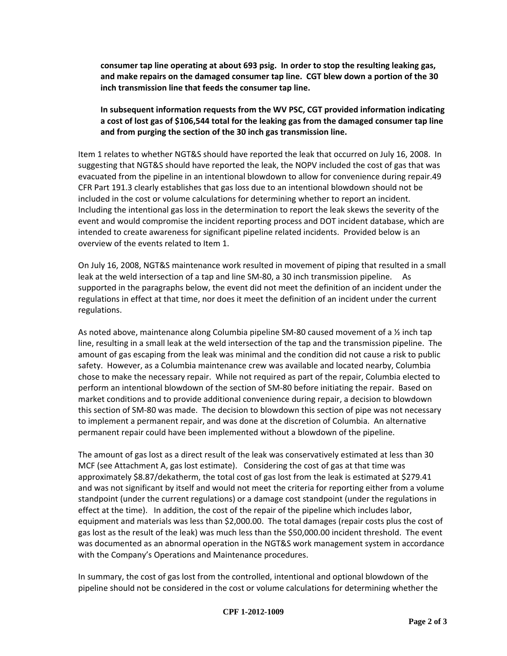**consumer tap line operating at about 693 psig. In order to stop the resulting leaking gas, and make repairs on the damaged consumer tap line. CGT blew down a portion of the 30 inch transmission line that feeds the consumer tap line.** 

**In subsequent information requests from the WV PSC, CGT provided information indicating a cost of lost gas of \$106,544 total for the leaking gas from the damaged consumer tap line and from purging the section of the 30 inch gas transmission line.** 

Item 1 relates to whether NGT&S should have reported the leak that occurred on July 16, 2008. In suggesting that NGT&S should have reported the leak, the NOPV included the cost of gas that was evacuated from the pipeline in an intentional blowdown to allow for convenience during repair.49 CFR Part 191.3 clearly establishes that gas loss due to an intentional blowdown should not be included in the cost or volume calculations for determining whether to report an incident. Including the intentional gas loss in the determination to report the leak skews the severity of the event and would compromise the incident reporting process and DOT incident database, which are intended to create awareness for significant pipeline related incidents. Provided below is an overview of the events related to Item 1.

On July 16, 2008, NGT&S maintenance work resulted in movement of piping that resulted in a small leak at the weld intersection of a tap and line SM-80, a 30 inch transmission pipeline. As supported in the paragraphs below, the event did not meet the definition of an incident under the regulations in effect at that time, nor does it meet the definition of an incident under the current regulations.

As noted above, maintenance along Columbia pipeline SM-80 caused movement of a 1/2 inch tap line, resulting in a small leak at the weld intersection of the tap and the transmission pipeline. The amount of gas escaping from the leak was minimal and the condition did not cause a risk to public safety. However, as a Columbia maintenance crew was available and located nearby, Columbia chose to make the necessary repair. While not required as part of the repair, Columbia elected to perform an intentional blowdown of the section of SM-80 before initiating the repair. Based on market conditions and to provide additional convenience during repair, a decision to blowdown this section of SM-80 was made. The decision to blowdown this section of pipe was not necessary to implement a permanent repair, and was done at the discretion of Columbia. An alternative permanent repair could have been implemented without a blowdown of the pipeline.

The amount of gas lost as a direct result of the leak was conservatively estimated at less than 30 MCF (see Attachment A, gas lost estimate). Considering the cost of gas at that time was approximately \$8.87/dekatherm, the total cost of gas lost from the leak is estimated at \$279.41 and was not significant by itself and would not meet the criteria for reporting either from a volume standpoint (under the current regulations) or a damage cost standpoint (under the regulations in effect at the time). In addition, the cost of the repair of the pipeline which includes labor, equipment and materials was less than \$2,000.00. The total damages (repair costs plus the cost of gas lost as the result of the leak) was much less than the \$50,000.00 incident threshold. The event was documented as an abnormal operation in the NGT&S work management system in accordance with the Company's Operations and Maintenance procedures.

In summary, the cost of gas lost from the controlled, intentional and optional blowdown of the pipeline should not be considered in the cost or volume calculations for determining whether the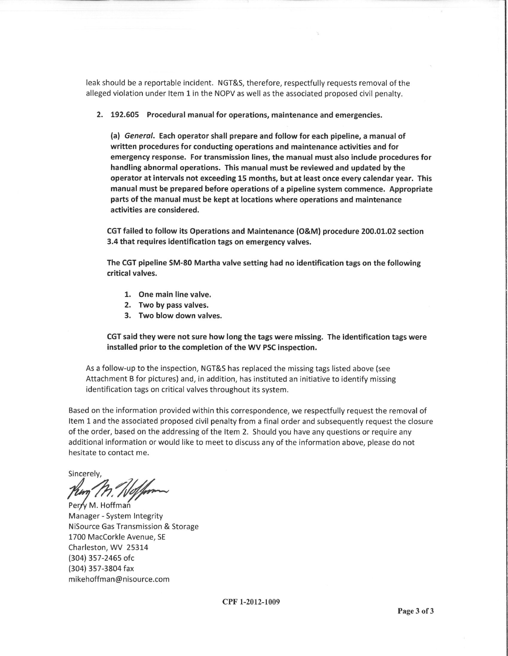leak should be a reportable incident. NGT&S, therefore, respectfully requests removal of the alleged violation under Item 1 in the NOPV as well as the associated proposed civil penalty.

2. 192.605 Procedural manual for operations, maintenance and emergencies.

(a) General. Each operator shall prepare and follow for each pipeline, a manual of written procedures for conducting operations and maintenance activities and for emergency response. For transmission lines, the manual must also include procedures for handling abnormal operations. This manual must be reviewed and updated by the operator at intervals not exceeding 15 months, but at least once every calendar year. This manual must be prepared before operations of a pipeline system commence. Appropriate parts of the manual must be kept at locations where operations and maintenance activities are considered.

CGT failed to follow its Operations and Maintenance (O&M) procedure 200.01.02 section 3.4 that requires identification tags on emergency valves.

The CGT pipeline SM-80 Martha valve setting had no identification tags on the following critical valves.

- 1. One main line valve.
- 2. Two by pass valves.
- 3. Two blow down valves.

CGT said they were not sure how long the tags were missing. The identification tags were installed prior to the completion of the WV PSC inspection.

As a follow-up to the inspection, NGT&S has replaced the missing tags listed above (see Attachment B for pictures) and, in addition, has instituted an initiative to identify missing identification tags on critical valves throughout its system.

Based on the information provided within this correspondence, we respectfully request the removal of Item 1 and the associated proposed civil penalty from a final order and subsequently request the closure of the order, based on the addressing of the Item 2. Should you have any questions or require any additional information or would like to meet to discuss any of the information above, please do not hesitate to contact me.

Sincerely,

Perry M. Hoffman

Manager - System Integrity NiSource Gas Transmission & Storage 1700 MacCorkle Avenue, SE Charleston, WV 25314 (304) 357-2465 ofc (304) 357-3804 fax mikehoffman@nisource.com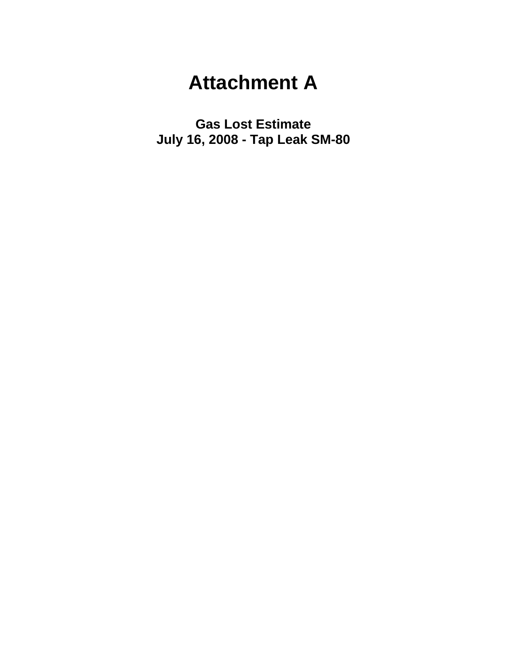## **Attachment A**

**Gas Lost Estimate July 16, 2008 - Tap Leak SM-80**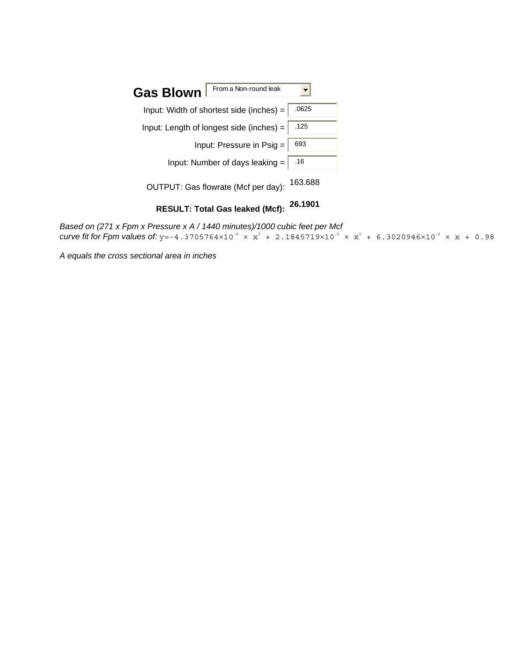

*Based on (271 x Fpm x Pressure x A / 1440 minutes)/1000 cubic feet per Mcf curve fit for Fpm values of:*  $y=-4.3705764\times10^{-9} \times x^3 + 2.1845719\times10^{-5} \times x^2 + 6.3020946\times10^{-2} \times x + 0.98$ 

*A equals the cross sectional area in inches*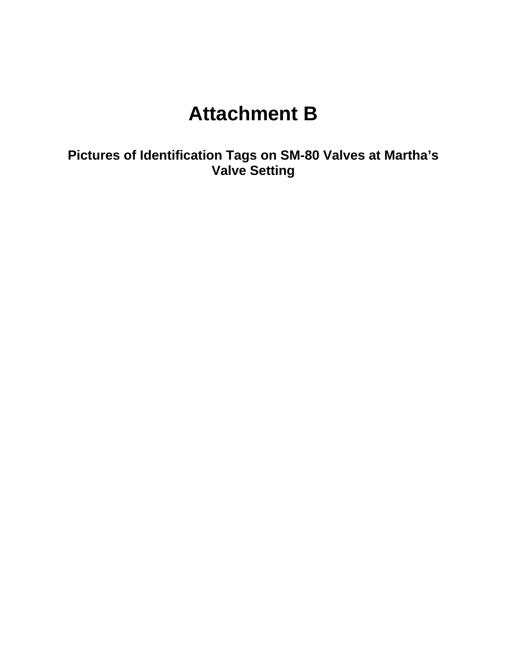## **Attachment B**

**Pictures of Identification Tags on SM-80 Valves at Martha's Valve Setting**